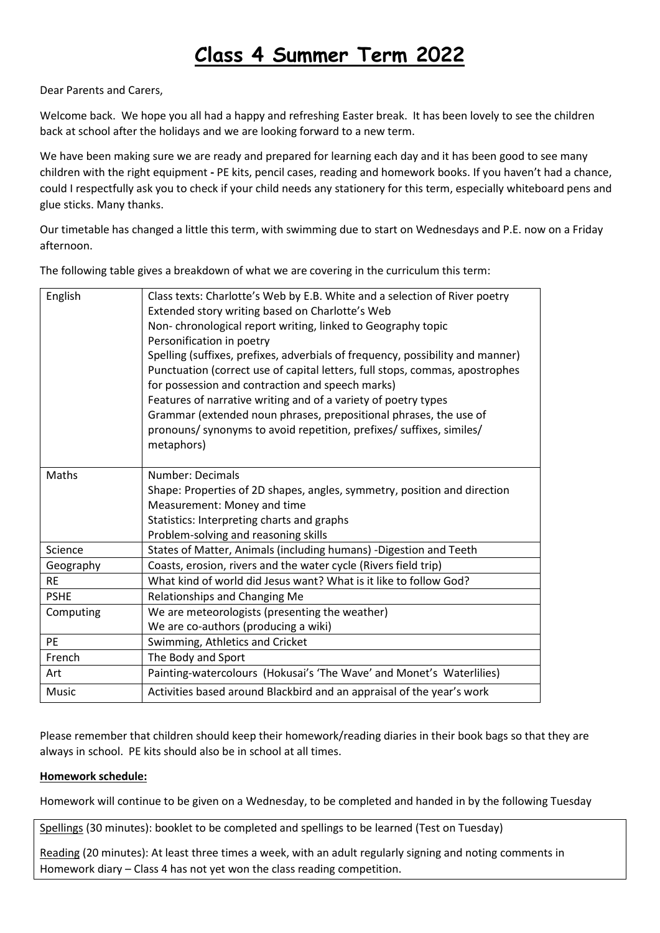## **Class 4 Summer Term 2022**

Dear Parents and Carers,

Welcome back. We hope you all had a happy and refreshing Easter break. It has been lovely to see the children back at school after the holidays and we are looking forward to a new term.

We have been making sure we are ready and prepared for learning each day and it has been good to see many children with the right equipment **-** PE kits, pencil cases, reading and homework books. If you haven't had a chance, could I respectfully ask you to check if your child needs any stationery for this term, especially whiteboard pens and glue sticks. Many thanks.

Our timetable has changed a little this term, with swimming due to start on Wednesdays and P.E. now on a Friday afternoon.

The following table gives a breakdown of what we are covering in the curriculum this term:

| English     | Class texts: Charlotte's Web by E.B. White and a selection of River poetry     |  |  |  |
|-------------|--------------------------------------------------------------------------------|--|--|--|
|             | Extended story writing based on Charlotte's Web                                |  |  |  |
|             | Non-chronological report writing, linked to Geography topic                    |  |  |  |
|             | Personification in poetry                                                      |  |  |  |
|             | Spelling (suffixes, prefixes, adverbials of frequency, possibility and manner) |  |  |  |
|             | Punctuation (correct use of capital letters, full stops, commas, apostrophes   |  |  |  |
|             | for possession and contraction and speech marks)                               |  |  |  |
|             | Features of narrative writing and of a variety of poetry types                 |  |  |  |
|             |                                                                                |  |  |  |
|             | Grammar (extended noun phrases, prepositional phrases, the use of              |  |  |  |
|             | pronouns/ synonyms to avoid repetition, prefixes/ suffixes, similes/           |  |  |  |
|             | metaphors)                                                                     |  |  |  |
| Maths       | Number: Decimals                                                               |  |  |  |
|             | Shape: Properties of 2D shapes, angles, symmetry, position and direction       |  |  |  |
|             | Measurement: Money and time                                                    |  |  |  |
|             | Statistics: Interpreting charts and graphs                                     |  |  |  |
|             | Problem-solving and reasoning skills                                           |  |  |  |
| Science     | States of Matter, Animals (including humans) -Digestion and Teeth              |  |  |  |
| Geography   | Coasts, erosion, rivers and the water cycle (Rivers field trip)                |  |  |  |
| <b>RE</b>   | What kind of world did Jesus want? What is it like to follow God?              |  |  |  |
| <b>PSHE</b> | Relationships and Changing Me                                                  |  |  |  |
| Computing   | We are meteorologists (presenting the weather)                                 |  |  |  |
|             | We are co-authors (producing a wiki)                                           |  |  |  |
| <b>PE</b>   | Swimming, Athletics and Cricket                                                |  |  |  |
| French      | The Body and Sport                                                             |  |  |  |
| Art         | Painting-watercolours (Hokusai's 'The Wave' and Monet's Waterlilies)           |  |  |  |
| Music       | Activities based around Blackbird and an appraisal of the year's work          |  |  |  |

Please remember that children should keep their homework/reading diaries in their book bags so that they are always in school. PE kits should also be in school at all times.

## **Homework schedule:**

Homework will continue to be given on a Wednesday, to be completed and handed in by the following Tuesday

Spellings (30 minutes): booklet to be completed and spellings to be learned (Test on Tuesday)

Reading (20 minutes): At least three times a week, with an adult regularly signing and noting comments in Homework diary – Class 4 has not yet won the class reading competition.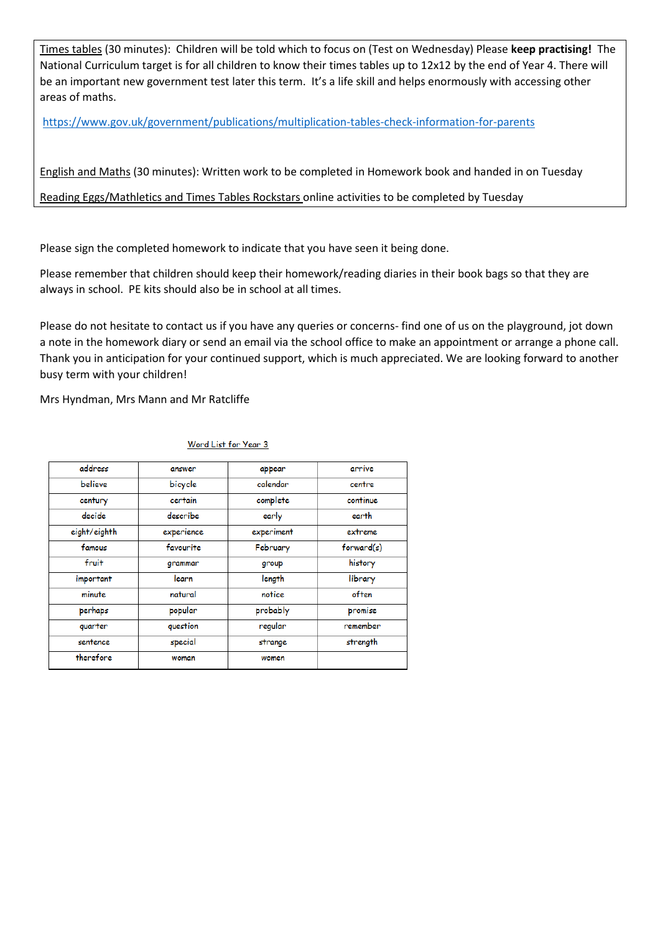Times tables (30 minutes): Children will be told which to focus on (Test on Wednesday) Please **keep practising!** The National Curriculum target is for all children to know their times tables up to 12x12 by the end of Year 4. There will be an important new government test later this term. It's a life skill and helps enormously with accessing other areas of maths.

<https://www.gov.uk/government/publications/multiplication-tables-check-information-for-parents>

English and Maths (30 minutes): Written work to be completed in Homework book and handed in on Tuesday

Reading Eggs/Mathletics and Times Tables Rockstars online activities to be completed by Tuesday

Please sign the completed homework to indicate that you have seen it being done.

Please remember that children should keep their homework/reading diaries in their book bags so that they are always in school. PE kits should also be in school at all times.

Please do not hesitate to contact us if you have any queries or concerns- find one of us on the playground, jot down a note in the homework diary or send an email via the school office to make an appointment or arrange a phone call. Thank you in anticipation for your continued support, which is much appreciated. We are looking forward to another busy term with your children!

Mrs Hyndman, Mrs Mann and Mr Ratcliffe

| address      | answer     | appear     | arrive     |
|--------------|------------|------------|------------|
| believe      | bicycle    | calendar   | centre     |
| century      | certain    | complete   | continue   |
| decide       | describe   | early      | earth      |
| eight/eighth | experience | experiment | extreme    |
| famous       | favourite  | February   | forward(s) |
| fruit        | grammar    | group      | history    |
| important    | learn      | length     | library    |
| minute       | natural    | notice     | often      |
| perhaps      | popular    | probably   | promise    |
| quarter      | question   | regular    | remember   |
| sentence     | special    | strange    | strength   |
| therefore    | woman      | women      |            |

## Word List for Year 3